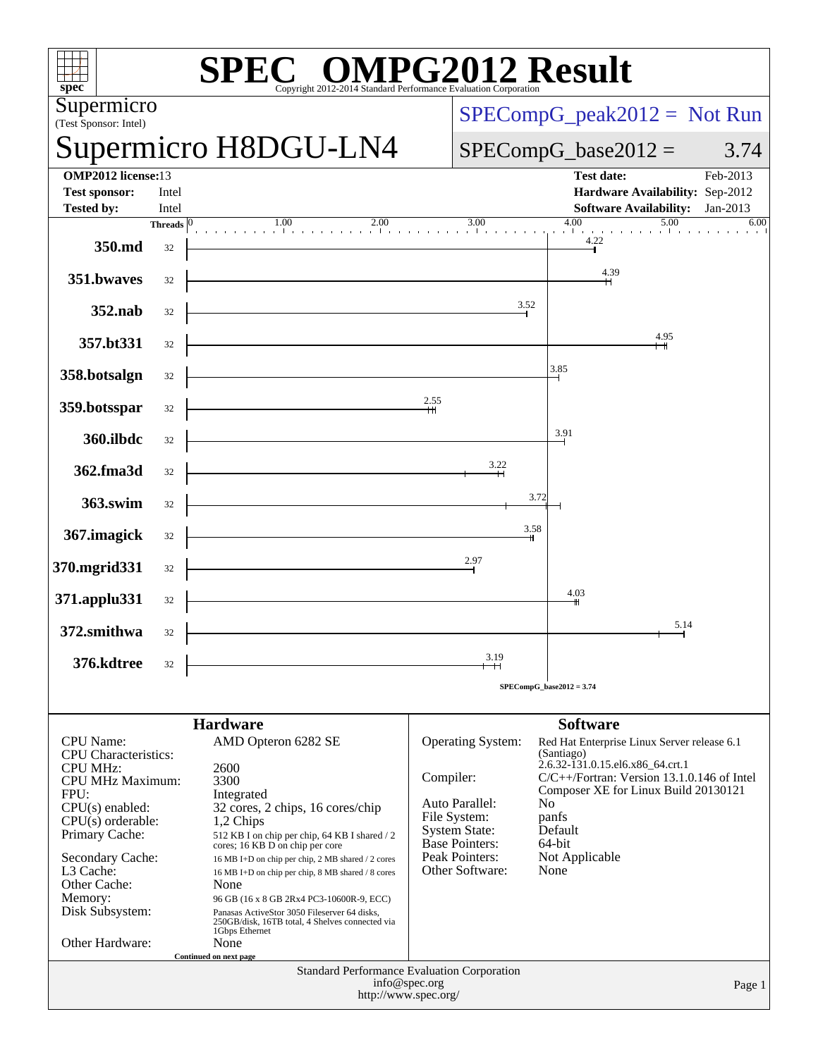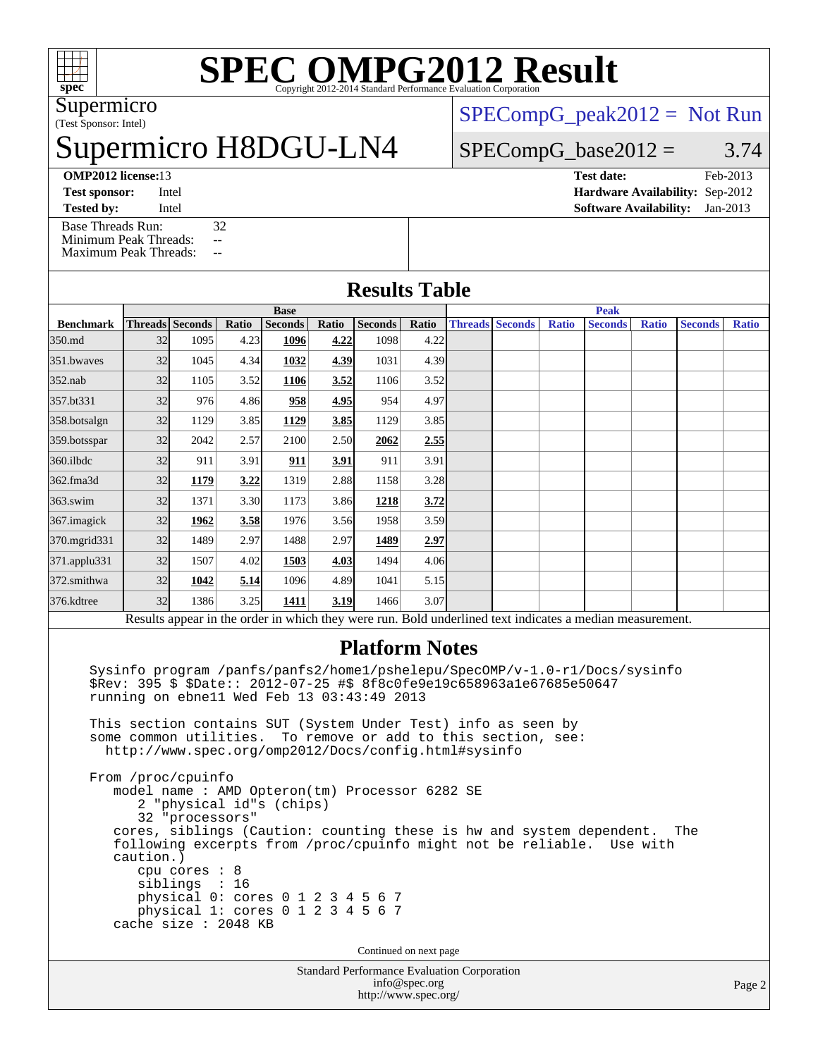

# **[SPEC OMPG2012 Result](http://www.spec.org/auto/omp2012/Docs/result-fields.html#SPECOMPG2012Result)**

(Test Sponsor: Intel) Supermicro

# permicro H8DGU-LN4

[SPECompG\\_peak2012 =](http://www.spec.org/auto/omp2012/Docs/result-fields.html#SPECompGpeak2012) Not Run

## $SPECompG_base2012 = 3.74$  $SPECompG_base2012 = 3.74$

[Base Threads Run:](http://www.spec.org/auto/omp2012/Docs/result-fields.html#BaseThreadsRun) 32 [Minimum Peak Threads:](http://www.spec.org/auto/omp2012/Docs/result-fields.html#MinimumPeakThreads) --

[Maximum Peak Threads:](http://www.spec.org/auto/omp2012/Docs/result-fields.html#MaximumPeakThreads) --

# **[OMP2012 license:](http://www.spec.org/auto/omp2012/Docs/result-fields.html#OMP2012license)**13 **[Test date:](http://www.spec.org/auto/omp2012/Docs/result-fields.html#Testdate)** Feb-2013

**[Test sponsor:](http://www.spec.org/auto/omp2012/Docs/result-fields.html#Testsponsor)** Intel **[Hardware Availability:](http://www.spec.org/auto/omp2012/Docs/result-fields.html#HardwareAvailability)** Sep-2012 **[Tested by:](http://www.spec.org/auto/omp2012/Docs/result-fields.html#Testedby)** Intel **[Software Availability:](http://www.spec.org/auto/omp2012/Docs/result-fields.html#SoftwareAvailability)** Jan-2013

## **[Results Table](http://www.spec.org/auto/omp2012/Docs/result-fields.html#ResultsTable)**

|                  | <b>Base</b> |                        |       |                |       |                |       | <b>Peak</b> |                        |              |                                                                                                         |              |                |              |
|------------------|-------------|------------------------|-------|----------------|-------|----------------|-------|-------------|------------------------|--------------|---------------------------------------------------------------------------------------------------------|--------------|----------------|--------------|
| <b>Benchmark</b> |             | <b>Threads</b> Seconds | Ratio | <b>Seconds</b> | Ratio | <b>Seconds</b> | Ratio |             | <b>Threads Seconds</b> | <b>Ratio</b> | <b>Seconds</b>                                                                                          | <b>Ratio</b> | <b>Seconds</b> | <b>Ratio</b> |
| 350.md           | 32          | 1095                   | 4.23  | 1096           | 4.22  | 1098           | 4.22  |             |                        |              |                                                                                                         |              |                |              |
| 351.bwayes       | 32          | 1045                   | 4.34  | 1032           | 4.39  | 1031           | 4.39  |             |                        |              |                                                                                                         |              |                |              |
| $352$ .nab       | 32          | 1105                   | 3.52  | 1106           | 3.52  | 1106           | 3.52  |             |                        |              |                                                                                                         |              |                |              |
| 357.bt331        | 32          | 976                    | 4.86  | 958            | 4.95  | 954            | 4.97  |             |                        |              |                                                                                                         |              |                |              |
| 358.botsalgn     | 32          | 1129                   | 3.85  | 1129           | 3.85  | 1129           | 3.85  |             |                        |              |                                                                                                         |              |                |              |
| 359.botsspar     | 32          | 2042                   | 2.57  | 2100           | 2.50  | 2062           | 2.55  |             |                        |              |                                                                                                         |              |                |              |
| $360$ .ilbdc     | 32          | 911                    | 3.91  | 911            | 3.91  | 911            | 3.91  |             |                        |              |                                                                                                         |              |                |              |
| 362.fma3d        | 32          | 1179                   | 3.22  | 1319           | 2.88  | 1158           | 3.28  |             |                        |              |                                                                                                         |              |                |              |
| $363$ .swim      | 32          | 1371                   | 3.30  | 1173           | 3.86  | 1218           | 3.72  |             |                        |              |                                                                                                         |              |                |              |
| 367. imagick     | 32          | 1962                   | 3.58  | 1976           | 3.56  | 1958           | 3.59  |             |                        |              |                                                                                                         |              |                |              |
| 370.mgrid331     | 32          | 1489                   | 2.97  | 1488           | 2.97  | 1489           | 2.97  |             |                        |              |                                                                                                         |              |                |              |
| 371.applu331     | 32          | 1507                   | 4.02  | 1503           | 4.03  | 1494           | 4.06  |             |                        |              |                                                                                                         |              |                |              |
| 372.smithwa      | 32          | 1042                   | 5.14  | 1096           | 4.89  | 1041           | 5.15  |             |                        |              |                                                                                                         |              |                |              |
| 376.kdtree       | 32          | 1386                   | 3.25  | 1411           | 3.19  | 1466           | 3.07  |             |                        |              |                                                                                                         |              |                |              |
|                  |             |                        |       |                |       |                |       |             |                        |              | Results appear in the order in which they were run. Rold underlined text indicates a median measurement |              |                |              |

Results appear in the [order in which they were run.](http://www.spec.org/auto/omp2012/Docs/result-fields.html#RunOrder) Bold underlined text [indicates a median measurement.](http://www.spec.org/auto/omp2012/Docs/result-fields.html#Median)

### **[Platform Notes](http://www.spec.org/auto/omp2012/Docs/result-fields.html#PlatformNotes)**

 Sysinfo program /panfs/panfs2/home1/pshelepu/SpecOMP/v-1.0-r1/Docs/sysinfo \$Rev: 395 \$ \$Date:: 2012-07-25 #\$ 8f8c0fe9e19c658963a1e67685e50647 running on ebne11 Wed Feb 13 03:43:49 2013

 This section contains SUT (System Under Test) info as seen by some common utilities. To remove or add to this section, see: <http://www.spec.org/omp2012/Docs/config.html#sysinfo>

 From /proc/cpuinfo model name : AMD Opteron(tm) Processor 6282 SE 2 "physical id"s (chips) 32 "processors" cores, siblings (Caution: counting these is hw and system dependent. The following excerpts from /proc/cpuinfo might not be reliable. Use with caution.) cpu cores : 8 siblings : 16 physical 0: cores 0 1 2 3 4 5 6 7 physical 1: cores 0 1 2 3 4 5 6 7 cache size : 2048 KB

Continued on next page

Standard Performance Evaluation Corporation [info@spec.org](mailto:info@spec.org) <http://www.spec.org/>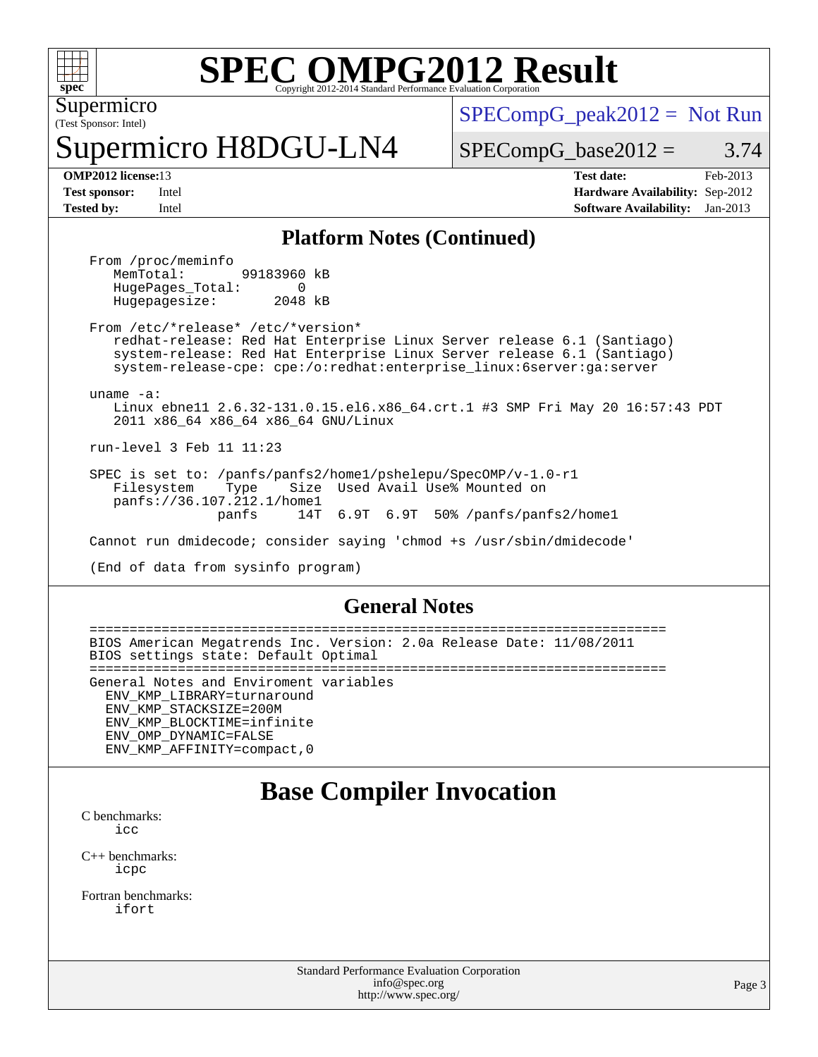

# **[SPEC OMPG2012 Result](http://www.spec.org/auto/omp2012/Docs/result-fields.html#SPECOMPG2012Result)**

(Test Sponsor: Intel) Supermicro

permicro H8DGU-LN4

 $SPECompG_peak2012 = Not Run$  $SPECompG_peak2012 = Not Run$ 

 $SPECompG_base2012 = 3.74$  $SPECompG_base2012 = 3.74$ 

**[OMP2012 license:](http://www.spec.org/auto/omp2012/Docs/result-fields.html#OMP2012license)**13 **[Test date:](http://www.spec.org/auto/omp2012/Docs/result-fields.html#Testdate)** Feb-2013 **[Test sponsor:](http://www.spec.org/auto/omp2012/Docs/result-fields.html#Testsponsor)** Intel **[Hardware Availability:](http://www.spec.org/auto/omp2012/Docs/result-fields.html#HardwareAvailability)** Sep-2012 **[Tested by:](http://www.spec.org/auto/omp2012/Docs/result-fields.html#Testedby)** Intel **[Software Availability:](http://www.spec.org/auto/omp2012/Docs/result-fields.html#SoftwareAvailability)** Jan-2013

### **[Platform Notes \(Continued\)](http://www.spec.org/auto/omp2012/Docs/result-fields.html#PlatformNotes)**

From /proc/meminfo<br>MemTotal: 99183960 kB HugePages\_Total: 0<br>Hugepagesize: 2048 kB Hugepagesize:

 From /etc/\*release\* /etc/\*version\* redhat-release: Red Hat Enterprise Linux Server release 6.1 (Santiago) system-release: Red Hat Enterprise Linux Server release 6.1 (Santiago) system-release-cpe: cpe:/o:redhat:enterprise\_linux:6server:ga:server

uname -a:

 Linux ebne11 2.6.32-131.0.15.el6.x86\_64.crt.1 #3 SMP Fri May 20 16:57:43 PDT 2011 x86\_64 x86\_64 x86\_64 GNU/Linux

run-level 3 Feb 11 11:23

 SPEC is set to: /panfs/panfs2/home1/pshelepu/SpecOMP/v-1.0-r1 Filesystem Type Size Used Avail Use% Mounted on panfs://36.107.212.1/home1 panfs 14T 6.9T 6.9T 50% /panfs/panfs2/home1

Cannot run dmidecode; consider saying 'chmod +s /usr/sbin/dmidecode'

(End of data from sysinfo program)

### **[General Notes](http://www.spec.org/auto/omp2012/Docs/result-fields.html#GeneralNotes)**

 ======================================================================== BIOS American Megatrends Inc. Version: 2.0a Release Date: 11/08/2011 BIOS settings state: Default Optimal ======================================================================== General Notes and Enviroment variables ENV\_KMP\_LIBRARY=turnaround ENV\_KMP\_STACKSIZE=200M ENV\_KMP\_BLOCKTIME=infinite ENV\_OMP\_DYNAMIC=FALSE ENV\_KMP\_AFFINITY=compact,0

## **[Base Compiler Invocation](http://www.spec.org/auto/omp2012/Docs/result-fields.html#BaseCompilerInvocation)**

[C benchmarks](http://www.spec.org/auto/omp2012/Docs/result-fields.html#Cbenchmarks): [icc](http://www.spec.org/omp2012/results/res2013q1/omp2012-20130219-00024.flags.html#user_CCbase_intel_icc_a87c68a857bc5ec5362391a49d3a37a6)

[C++ benchmarks:](http://www.spec.org/auto/omp2012/Docs/result-fields.html#CXXbenchmarks) [icpc](http://www.spec.org/omp2012/results/res2013q1/omp2012-20130219-00024.flags.html#user_CXXbase_intel_icpc_2d899f8d163502b12eb4a60069f80c1c)

[Fortran benchmarks](http://www.spec.org/auto/omp2012/Docs/result-fields.html#Fortranbenchmarks): [ifort](http://www.spec.org/omp2012/results/res2013q1/omp2012-20130219-00024.flags.html#user_FCbase_intel_ifort_8a5e5e06b19a251bdeaf8fdab5d62f20)

> Standard Performance Evaluation Corporation [info@spec.org](mailto:info@spec.org) <http://www.spec.org/>